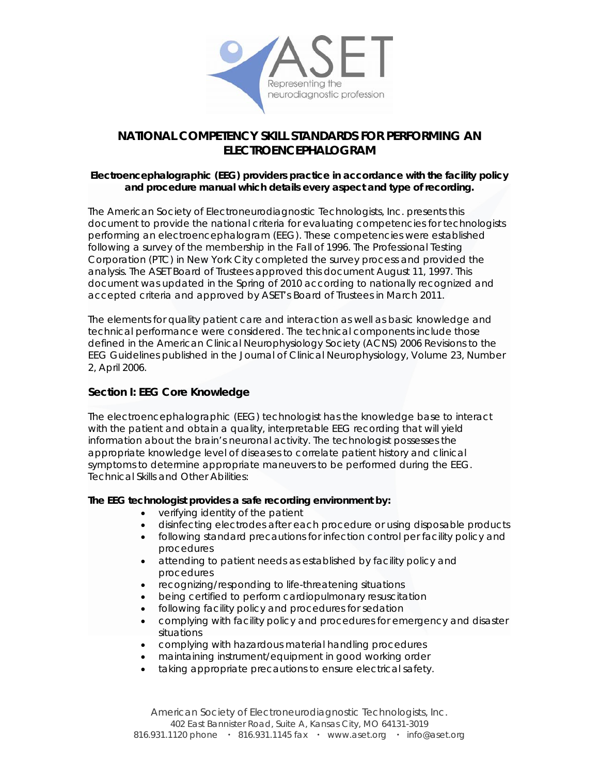

# **NATIONAL COMPETENCY SKILL STANDARDS FOR PERFORMING AN ELECTROENCEPHALOGRAM**

### **Electroencephalographic (EEG) providers practice in accordance with the facility policy and procedure manual which details every aspect and type of recording.**

The American Society of Electroneurodiagnostic Technologists, Inc. presents this document to provide the national criteria for evaluating competencies for technologists performing an electroencephalogram (EEG). These competencies were established following a survey of the membership in the Fall of 1996. The Professional Testing Corporation (PTC) in New York City completed the survey process and provided the analysis. The ASET Board of Trustees approved this document August 11, 1997. This document was updated in the Spring of 2010 according to nationally recognized and accepted criteria and approved by ASET's Board of Trustees in March 2011.

The elements for quality patient care and interaction as well as basic knowledge and technical performance were considered. The technical components include those defined in the American Clinical Neurophysiology Society (ACNS) 2006 Revisions to the EEG Guidelines published in the *Journal of Clinical Neurophysiology*, Volume 23, Number 2, April 2006.

# **Section I: EEG Core Knowledge**

The electroencephalographic (EEG) technologist has the knowledge base to interact with the patient and obtain a quality, interpretable EEG recording that will yield information about the brain's neuronal activity. The technologist possesses the appropriate knowledge level of diseases to correlate patient history and clinical symptoms to determine appropriate maneuvers to be performed during the EEG. Technical Skills and Other Abilities:

### **The EEG technologist provides a safe recording environment by:**

- verifying identity of the patient
- disinfecting electrodes after each procedure or using disposable products
- following standard precautions for infection control per facility policy and procedures
- attending to patient needs as established by facility policy and procedures
- recognizing/responding to life-threatening situations
- being certified to perform cardiopulmonary resuscitation
- following facility policy and procedures for sedation
- complying with facility policy and procedures for emergency and disaster situations
- complying with hazardous material handling procedures
- maintaining instrument/equipment in good working order
- taking appropriate precautions to ensure electrical safety.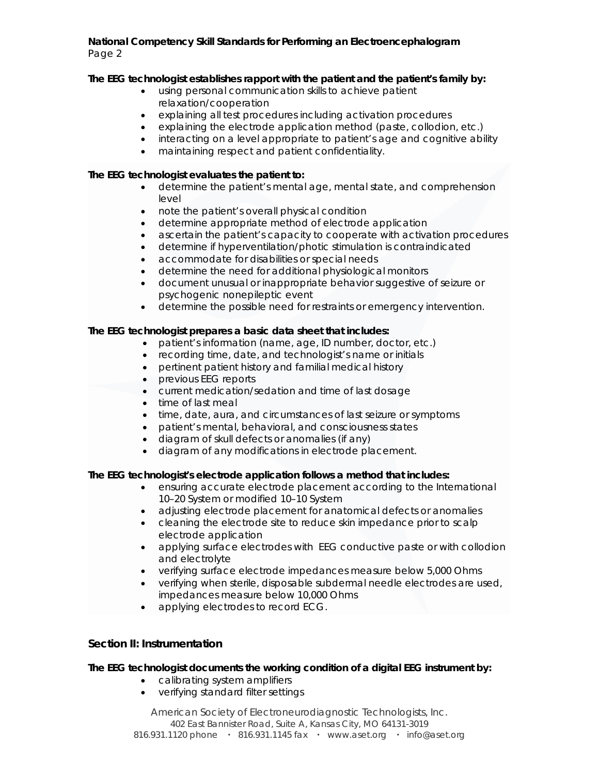### **The EEG technologist establishes rapport with the patient and the patient's family by:**

- using personal communication skills to achieve patient relaxation/cooperation
- explaining all test procedures including activation procedures
- explaining the electrode application method (paste, collodion, etc.)
- interacting on a level appropriate to patient's age and cognitive ability
- maintaining respect and patient confidentiality.

# **The EEG technologist evaluates the patient to:**

- determine the patient's mental age, mental state, and comprehension level
- note the patient's overall physical condition
- determine appropriate method of electrode application
- ascertain the patient's capacity to cooperate with activation procedures
- determine if hyperventilation/photic stimulation is contraindicated
- accommodate for disabilities or special needs
- determine the need for additional physiological monitors
- document unusual or inappropriate behavior suggestive of seizure or psychogenic nonepileptic event
- determine the possible need for restraints or emergency intervention.

# **The EEG technologist prepares a basic data sheet that includes:**

- patient's information (name, age, ID number, doctor, etc.)
- recording time, date, and technologist's name or initials
- pertinent patient history and familial medical history
- previous EEG reports
- current medication/sedation and time of last dosage
- time of last meal
- time, date, aura, and circumstances of last seizure or symptoms
- patient's mental, behavioral, and consciousness states
- diagram of skull defects or anomalies (if any)
- diagram of any modifications in electrode placement.

### **The EEG technologist's electrode application follows a method that includes:**

- ensuring accurate electrode placement according to the International 10–20 System or modified 10–10 System
- adjusting electrode placement for anatomical defects or anomalies
- cleaning the electrode site to reduce skin impedance prior to scalp electrode application
- applying surface electrodes with EEG conductive paste or with collodion and electrolyte
- verifying surface electrode impedances measure below 5,000 Ohms
- verifying when sterile, disposable subdermal needle electrodes are used, impedances measure below 10,000 Ohms
- applying electrodes to record ECG.

# **Section II: Instrumentation**

### **The EEG technologist documents the working condition of a digital EEG instrument by:**

- calibrating system amplifiers
- verifying standard filter settings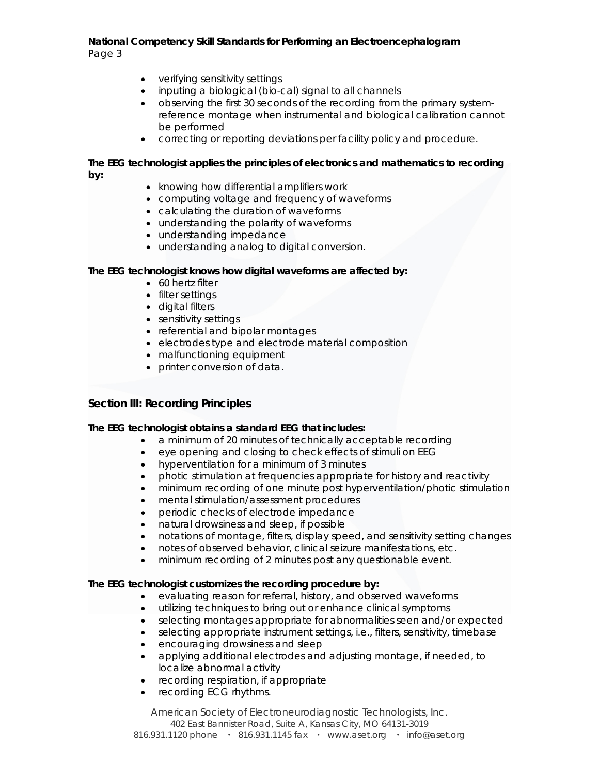- verifying sensitivity settings
- inputing a biological (bio-cal) signal to all channels
- observing the first 30 seconds of the recording from the primary systemreference montage when instrumental and biological calibration cannot be performed
- correcting or reporting deviations per facility policy and procedure.

#### **The EEG technologist applies the principles of electronics and mathematics to recording by:**

- knowing how differential amplifiers work
- computing voltage and frequency of waveforms
- calculating the duration of waveforms
- understanding the polarity of waveforms
- understanding impedance
- understanding analog to digital conversion.

# **The EEG technologist knows how digital waveforms are affected by:**

- 60 hertz filter
- filter settings
- digital filters
- sensitivity settings
- referential and bipolar montages
- electrodes type and electrode material composition
- malfunctioning equipment
- printer conversion of data.

# **Section III: Recording Principles**

### **The EEG technologist obtains a standard EEG that includes:**

- a minimum of 20 minutes of technically acceptable recording
- eye opening and closing to check effects of stimuli on EEG
- hyperventilation for a minimum of 3 minutes
- photic stimulation at frequencies appropriate for history and reactivity
- minimum recording of one minute post hyperventilation/photic stimulation
- mental stimulation/assessment procedures
- periodic checks of electrode impedance
- natural drowsiness and sleep, if possible
- notations of montage, filters, display speed, and sensitivity setting changes
- notes of observed behavior, clinical seizure manifestations, etc.
- minimum recording of 2 minutes post any questionable event.

### **The EEG technologist customizes the recording procedure by:**

- evaluating reason for referral, history, and observed waveforms
- utilizing techniques to bring out or enhance clinical symptoms
- selecting montages appropriate for abnormalities seen and/or expected
- selecting appropriate instrument settings, i.e., filters, sensitivity, timebase
- encouraging drowsiness and sleep
- applying additional electrodes and adjusting montage, if needed, to localize abnormal activity
- recording respiration, if appropriate
- recording ECG rhythms.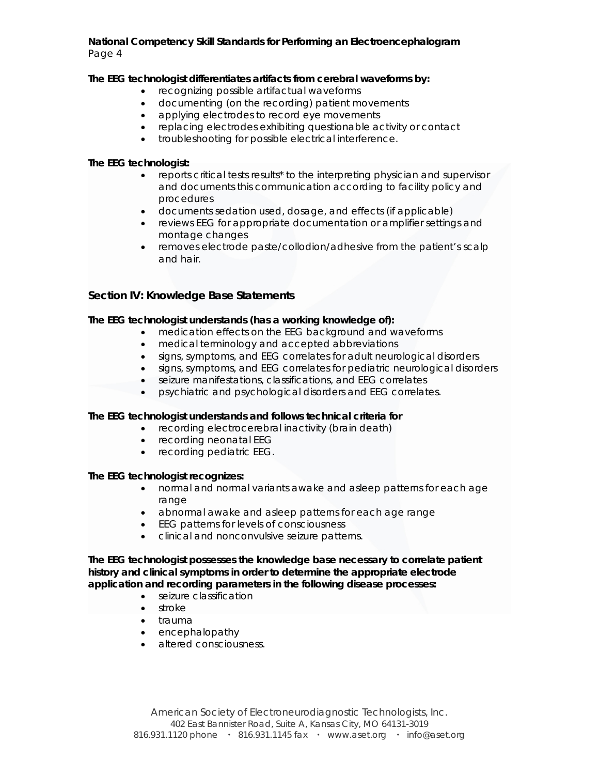### **The EEG technologist differentiates artifacts from cerebral waveforms by:**

- recognizing possible artifactual waveforms
- documenting (on the recording) patient movements
- applying electrodes to record eye movements
- replacing electrodes exhibiting questionable activity or contact
- troubleshooting for possible electrical interference.

### **The EEG technologist:**

- reports critical tests results\* to the interpreting physician and supervisor and documents this communication according to facility policy and procedures
- documents sedation used, dosage, and effects (if applicable)
- reviews EEG for appropriate documentation or amplifier settings and montage changes
- removes electrode paste/collodion/adhesive from the patient's scalp and hair.

# **Section IV: Knowledge Base Statements**

### **The EEG technologist understands (has a working knowledge of):**

- medication effects on the EEG background and waveforms
- medical terminology and accepted abbreviations
- signs, symptoms, and EEG correlates for adult neurological disorders
- signs, symptoms, and EEG correlates for pediatric neurological disorders
- seizure manifestations, classifications, and EEG correlates
- psychiatric and psychological disorders and EEG correlates.

### **The EEG technologist understands and follows technical criteria for**

- recording electrocerebral inactivity (brain death)
- recording neonatal EEG
- recording pediatric EEG.

### **The EEG technologist recognizes:**

- normal and normal variants awake and asleep patterns for each age range
- abnormal awake and asleep patterns for each age range
- EEG patterns for levels of consciousness
- clinical and nonconvulsive seizure patterns.

**The EEG technologist possesses the knowledge base necessary to correlate patient history and clinical symptoms in order to determine the appropriate electrode application and recording parameters in the following disease processes:** 

- seizure classification
- stroke
- trauma
- encephalopathy
- altered consciousness.